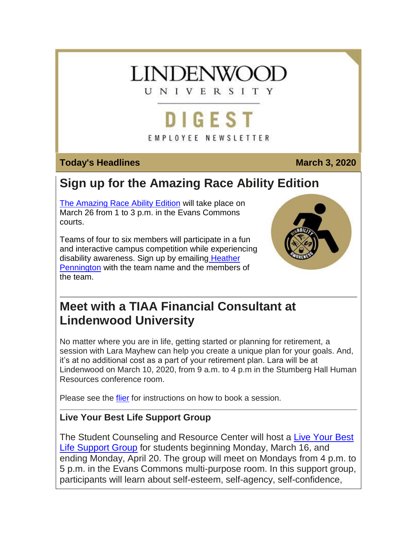# **INDENWOO**

UNIVERSITY

# DIGEST

EMPLOYEE NEWSLETTER

# **Today's Headlines March 3, 2020**

# **Sign up for the Amazing Race Ability Edition**

[The Amazing Race Ability Edition](https://hes32-ctp.trendmicro.com/wis/clicktime/v1/query?url=https%3a%2f%2fcustapp.marketvolt.com%2flink%2fdLwxdnUNk3%3fCM%3d1472190125%26X%3d70525052&umid=4b35638a-cea9-45ac-b489-3e4505ef875f&auth=bc7ac43e330fa629f0cfb11786c85e83c10d06b8-c670408b2be7e3c23edbcc2dcee70b1781d1f408) will take place on March 26 from 1 to 3 p.m. in the Evans Commons courts.

Teams of four to six members will participate in a fun and interactive campus competition while experiencing disability awareness. Sign up by emailing [Heather](mailto:hpennington@lindenwood.edu)  [Pennington](mailto:hpennington@lindenwood.edu) with the team name and the members of the team.



# **Meet with a TIAA Financial Consultant at Lindenwood University**

No matter where you are in life, getting started or planning for retirement, a session with Lara Mayhew can help you create a unique plan for your goals. And, it's at no additional cost as a part of your retirement plan. Lara will be at Lindenwood on March 10, 2020, from 9 a.m. to 4 p.m in the Stumberg Hall Human Resources conference room.

Please see the [flier](https://hes32-ctp.trendmicro.com/wis/clicktime/v1/query?url=https%3a%2f%2fcustapp.marketvolt.com%2flink%2fFKldisLhKg%3fCM%3d1472190125%26X%3d70525052&umid=4b35638a-cea9-45ac-b489-3e4505ef875f&auth=bc7ac43e330fa629f0cfb11786c85e83c10d06b8-f5fddbedb77b978b8db5ab6f7651f7c6775f4433) for instructions on how to book a session.

# **Live Your Best Life Support Group**

The Student Counseling and Resource Center will host a [Live Your Best](https://hes32-ctp.trendmicro.com/wis/clicktime/v1/query?url=https%3a%2f%2fcustapp.marketvolt.com%2flink%2fMTbA6d8wDY%3fCM%3d1472190125%26X%3d70525052&umid=4b35638a-cea9-45ac-b489-3e4505ef875f&auth=bc7ac43e330fa629f0cfb11786c85e83c10d06b8-c291678094d07f3a8bc1f438db951479f6350eb4)  [Life Support Group](https://hes32-ctp.trendmicro.com/wis/clicktime/v1/query?url=https%3a%2f%2fcustapp.marketvolt.com%2flink%2fMTbA6d8wDY%3fCM%3d1472190125%26X%3d70525052&umid=4b35638a-cea9-45ac-b489-3e4505ef875f&auth=bc7ac43e330fa629f0cfb11786c85e83c10d06b8-c291678094d07f3a8bc1f438db951479f6350eb4) for students beginning Monday, March 16, and ending Monday, April 20. The group will meet on Mondays from 4 p.m. to 5 p.m. in the Evans Commons multi-purpose room. In this support group, participants will learn about self-esteem, self-agency, self-confidence,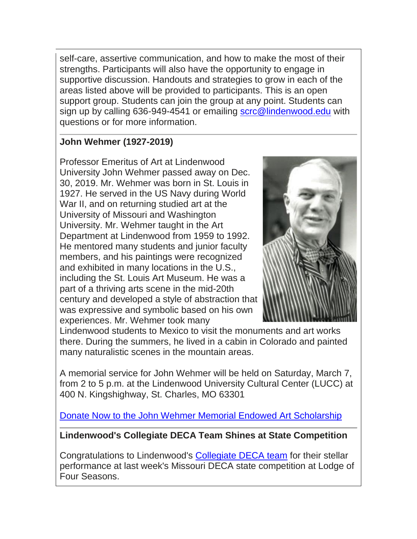self-care, assertive communication, and how to make the most of their strengths. Participants will also have the opportunity to engage in supportive discussion. Handouts and strategies to grow in each of the areas listed above will be provided to participants. This is an open support group. Students can join the group at any point. Students can sign up by calling 636-949-4541 or emailing [scrc@lindenwood.edu](mailto:scrc@lindenwood.edu) with questions or for more information.

# **John Wehmer (1927-2019)**

Professor Emeritus of Art at Lindenwood University John Wehmer passed away on Dec. 30, 2019. Mr. Wehmer was born in St. Louis in 1927. He served in the US Navy during World War II, and on returning studied art at the University of Missouri and Washington University. Mr. Wehmer taught in the Art Department at Lindenwood from 1959 to 1992. He mentored many students and junior faculty members, and his paintings were recognized and exhibited in many locations in the U.S., including the St. Louis Art Museum. He was a part of a thriving arts scene in the mid-20th century and developed a style of abstraction that was expressive and symbolic based on his own experiences. Mr. Wehmer took many



Lindenwood students to Mexico to visit the monuments and art works there. During the summers, he lived in a cabin in Colorado and painted many naturalistic scenes in the mountain areas.

A memorial service for John Wehmer will be held on Saturday, March 7, from 2 to 5 p.m. at the Lindenwood University Cultural Center (LUCC) at 400 N. Kingshighway, St. Charles, MO 63301

[Donate Now to the John Wehmer Memorial Endowed Art Scholarship](https://hes32-ctp.trendmicro.com/wis/clicktime/v1/query?url=https%3a%2f%2fcustapp.marketvolt.com%2flink%2f3flgmV9Kah%3fCM%3d1472190125%26X%3d70525052&umid=4b35638a-cea9-45ac-b489-3e4505ef875f&auth=bc7ac43e330fa629f0cfb11786c85e83c10d06b8-7726a51302ff61eba21a5a3f45b315b3fc8bb271)

**Lindenwood's Collegiate DECA Team Shines at State Competition**

Congratulations to Lindenwood's [Collegiate DECA team](https://hes32-ctp.trendmicro.com/wis/clicktime/v1/query?url=https%3a%2f%2fcustapp.marketvolt.com%2flink%2fx73WQWd7c8%3fCM%3d1472190125%26X%3d70525052&umid=4b35638a-cea9-45ac-b489-3e4505ef875f&auth=bc7ac43e330fa629f0cfb11786c85e83c10d06b8-3d7b0c896c95c5efd072a9d332a79a6d30be48bf) for their stellar performance at last week's Missouri DECA state competition at Lodge of Four Seasons.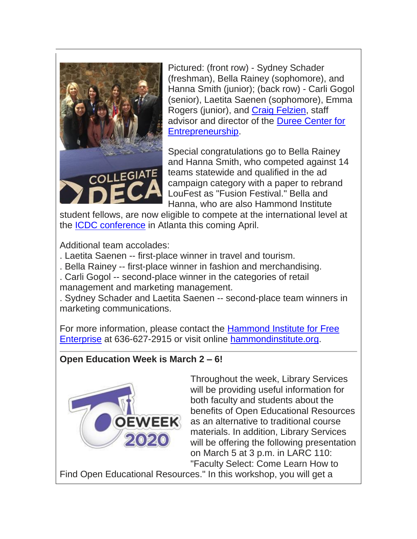

Pictured: (front row) - Sydney Schader (freshman), Bella Rainey (sophomore), and Hanna Smith (junior); (back row) - Carli Gogol (senior), Laetita Saenen (sophomore), Emma Rogers (junior), and [Craig Felzien,](https://hes32-ctp.trendmicro.com/wis/clicktime/v1/query?url=https%3a%2f%2fcustapp.marketvolt.com%2flink%2fFmr7MfEsom%3fCM%3d1472190125%26X%3d70525052&umid=4b35638a-cea9-45ac-b489-3e4505ef875f&auth=bc7ac43e330fa629f0cfb11786c85e83c10d06b8-c85e7866d8ce52d9b376e73308538a3a4a270927) staff advisor and director of the [Duree Center for](https://hes32-ctp.trendmicro.com/wis/clicktime/v1/query?url=https%3a%2f%2fcustapp.marketvolt.com%2flink%2f2YdbCofGf3%3fCM%3d1472190125%26X%3d70525052&umid=4b35638a-cea9-45ac-b489-3e4505ef875f&auth=bc7ac43e330fa629f0cfb11786c85e83c10d06b8-d00a6cbcf8a83c93fd18f9fd9d51363aa26aea01) [Entrepreneurship.](https://hes32-ctp.trendmicro.com/wis/clicktime/v1/query?url=https%3a%2f%2fcustapp.marketvolt.com%2flink%2f2YdbCofGf3%3fCM%3d1472190125%26X%3d70525052&umid=4b35638a-cea9-45ac-b489-3e4505ef875f&auth=bc7ac43e330fa629f0cfb11786c85e83c10d06b8-d00a6cbcf8a83c93fd18f9fd9d51363aa26aea01)

Special congratulations go to Bella Rainey and Hanna Smith, who competed against 14 teams statewide and qualified in the ad campaign category with a paper to rebrand LouFest as "Fusion Festival." Bella and Hanna, who are also Hammond Institute

student fellows, are now eligible to compete at the international level at the [ICDC conference](https://hes32-ctp.trendmicro.com/wis/clicktime/v1/query?url=https%3a%2f%2fcustapp.marketvolt.com%2flink%2fvpnDRkZggt%3fCM%3d1472190125%26X%3d70525052&umid=4b35638a-cea9-45ac-b489-3e4505ef875f&auth=bc7ac43e330fa629f0cfb11786c85e83c10d06b8-28e0d7a444d4fbcb1eb9713634005c67000ee84c) in Atlanta this coming April.

Additional team accolades:

- . Laetita Saenen -- first-place winner in travel and tourism.
- . Bella Rainey -- first-place winner in fashion and merchandising.
- . Carli Gogol -- second-place winner in the categories of retail management and marketing management.

. Sydney Schader and Laetita Saenen -- second-place team winners in marketing communications.

For more information, please contact the [Hammond Institute for Free](https://hes32-ctp.trendmicro.com/wis/clicktime/v1/query?url=https%3a%2f%2fcustapp.marketvolt.com%2flink%2fDFM53sXMD1%3fCM%3d1472190125%26X%3d70525052&umid=4b35638a-cea9-45ac-b489-3e4505ef875f&auth=bc7ac43e330fa629f0cfb11786c85e83c10d06b8-8f7aa5a850b3c27d1abd7ee9d85ffd0ec3cbd987)  [Enterprise](https://hes32-ctp.trendmicro.com/wis/clicktime/v1/query?url=https%3a%2f%2fcustapp.marketvolt.com%2flink%2fDFM53sXMD1%3fCM%3d1472190125%26X%3d70525052&umid=4b35638a-cea9-45ac-b489-3e4505ef875f&auth=bc7ac43e330fa629f0cfb11786c85e83c10d06b8-8f7aa5a850b3c27d1abd7ee9d85ffd0ec3cbd987) at 636-627-2915 or visit online [hammondinstitute.org.](https://hes32-ctp.trendmicro.com/wis/clicktime/v1/query?url=https%3a%2f%2fcustapp.marketvolt.com%2flink%2fDFM53sXMD1%3fCM%3d1472190125%26X%3d70525052&umid=4b35638a-cea9-45ac-b489-3e4505ef875f&auth=bc7ac43e330fa629f0cfb11786c85e83c10d06b8-8f7aa5a850b3c27d1abd7ee9d85ffd0ec3cbd987)

# **Open Education Week is March 2 – 6!**



Throughout the week, Library Services will be providing useful information for both faculty and students about the benefits of Open Educational Resources as an alternative to traditional course materials. In addition, Library Services will be offering the following presentation on March 5 at 3 p.m. in LARC 110: "Faculty Select: Come Learn How to

Find Open Educational Resources." In this workshop, you will get a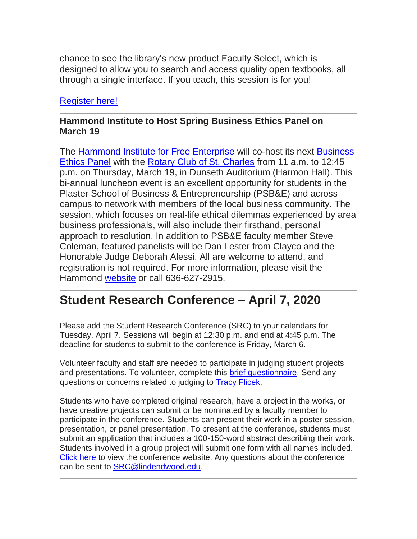chance to see the library's new product Faculty Select, which is designed to allow you to search and access quality open textbooks, all through a single interface. If you teach, this session is for you!

[Register here!](https://hes32-ctp.trendmicro.com/wis/clicktime/v1/query?url=https%3a%2f%2fcustapp.marketvolt.com%2flink%2fUdnyztfmZz%3fCM%3d1472190125%26X%3d70525052&umid=4b35638a-cea9-45ac-b489-3e4505ef875f&auth=bc7ac43e330fa629f0cfb11786c85e83c10d06b8-4f956b0680f8a94e304a5809dcbc69158b4fe506)

### **Hammond Institute to Host Spring Business Ethics Panel on March 19**

The [Hammond Institute for Free Enterprise](https://hes32-ctp.trendmicro.com/wis/clicktime/v1/query?url=https%3a%2f%2fcustapp.marketvolt.com%2flink%2fDFM53sXMD1%3fCM%3d1472190125%26X%3d70525052&umid=4b35638a-cea9-45ac-b489-3e4505ef875f&auth=bc7ac43e330fa629f0cfb11786c85e83c10d06b8-8f7aa5a850b3c27d1abd7ee9d85ffd0ec3cbd987) will co-host its next [Business](https://hes32-ctp.trendmicro.com/wis/clicktime/v1/query?url=https%3a%2f%2fcustapp.marketvolt.com%2flink%2fkg888Dpfkk%3fCM%3d1472190125%26X%3d70525052&umid=4b35638a-cea9-45ac-b489-3e4505ef875f&auth=bc7ac43e330fa629f0cfb11786c85e83c10d06b8-714ffcb1872ee46eb7308e797c071c90fcf9413c)  [Ethics Panel](https://hes32-ctp.trendmicro.com/wis/clicktime/v1/query?url=https%3a%2f%2fcustapp.marketvolt.com%2flink%2fkg888Dpfkk%3fCM%3d1472190125%26X%3d70525052&umid=4b35638a-cea9-45ac-b489-3e4505ef875f&auth=bc7ac43e330fa629f0cfb11786c85e83c10d06b8-714ffcb1872ee46eb7308e797c071c90fcf9413c) with the [Rotary Club of St. Charles](https://hes32-ctp.trendmicro.com/wis/clicktime/v1/query?url=https%3a%2f%2fcustapp.marketvolt.com%2flink%2fEGsYYI3Doy%3fCM%3d1472190125%26X%3d70525052&umid=4b35638a-cea9-45ac-b489-3e4505ef875f&auth=bc7ac43e330fa629f0cfb11786c85e83c10d06b8-06e8a3fce612c5fcca6141d87132773e420e0370) from 11 a.m. to 12:45 p.m. on Thursday, March 19, in Dunseth Auditorium (Harmon Hall). This bi-annual luncheon event is an excellent opportunity for students in the Plaster School of Business & Entrepreneurship (PSB&E) and across campus to network with members of the local business community. The session, which focuses on real-life ethical dilemmas experienced by area business professionals, will also include their firsthand, personal approach to resolution. In addition to PSB&E faculty member Steve Coleman, featured panelists will be Dan Lester from Clayco and the Honorable Judge Deborah Alessi. All are welcome to attend, and registration is not required. For more information, please visit the Hammond [website](https://hes32-ctp.trendmicro.com/wis/clicktime/v1/query?url=https%3a%2f%2fcustapp.marketvolt.com%2flink%2fstyhg6Ralq%3fCM%3d1472190125%26X%3d70525052&umid=4b35638a-cea9-45ac-b489-3e4505ef875f&auth=bc7ac43e330fa629f0cfb11786c85e83c10d06b8-829a5e8933e069f430d0484d1e11502758cbb057) or call 636-627-2915.

# **Student Research Conference – April 7, 2020**

Please add the Student Research Conference (SRC) to your calendars for Tuesday, April 7. Sessions will begin at 12:30 p.m. and end at 4:45 p.m. The deadline for students to submit to the conference is Friday, March 6.

Volunteer faculty and staff are needed to participate in judging student projects and presentations. To volunteer, complete this [brief questionnaire.](https://hes32-ctp.trendmicro.com/wis/clicktime/v1/query?url=https%3a%2f%2fcustapp.marketvolt.com%2flink%2fofHbKEmICA%3fCM%3d1472190125%26X%3d70525052&umid=4b35638a-cea9-45ac-b489-3e4505ef875f&auth=bc7ac43e330fa629f0cfb11786c85e83c10d06b8-b5f2cfca1178896e9c6bdb51874f7f3888b2fe33) Send any questions or concerns related to judging to [Tracy Flicek.](mailto:tflicek@lindenwood.edu)

Students who have completed original research, have a project in the works, or have creative projects can submit or be nominated by a faculty member to participate in the conference. Students can present their work in a poster session, presentation, or panel presentation. To present at the conference, students must submit an application that includes a 100-150-word abstract describing their work. Students involved in a group project will submit one form with all names included. [Click here](https://hes32-ctp.trendmicro.com/wis/clicktime/v1/query?url=https%3a%2f%2fcustapp.marketvolt.com%2flink%2fwfLkMnX3BZ%3fCM%3d1472190125%26X%3d70525052&umid=4b35638a-cea9-45ac-b489-3e4505ef875f&auth=bc7ac43e330fa629f0cfb11786c85e83c10d06b8-035937a307e5ec221ce43963c011a24f14f62cd8) to view the conference website. Any questions about the conference can be sent to [SRC@lindendwood.edu.](mailto:SRC@lindendwood.edu)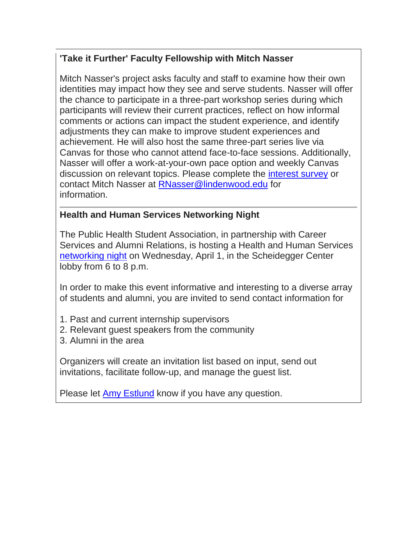# **'Take it Further' Faculty Fellowship with Mitch Nasser**

Mitch Nasser's project asks faculty and staff to examine how their own identities may impact how they see and serve students. Nasser will offer the chance to participate in a three-part workshop series during which participants will review their current practices, reflect on how informal comments or actions can impact the student experience, and identify adjustments they can make to improve student experiences and achievement. He will also host the same three-part series live via Canvas for those who cannot attend face-to-face sessions. Additionally, Nasser will offer a work-at-your-own pace option and weekly Canvas discussion on relevant topics. Please complete the [interest survey](https://hes32-ctp.trendmicro.com/wis/clicktime/v1/query?url=https%3a%2f%2fcustapp.marketvolt.com%2flink%2fGFAs9fwTmC%3fCM%3d1472190125%26X%3d70525052&umid=4b35638a-cea9-45ac-b489-3e4505ef875f&auth=bc7ac43e330fa629f0cfb11786c85e83c10d06b8-28cd1bb75a632f1482e56ae7deb9eebc52c9b2f1) or contact Mitch Nasser at [RNasser@lindenwood.edu](mailto:RNasser@lindenwood.edu) for information.

### **Health and Human Services Networking Night**

The Public Health Student Association, in partnership with Career Services and Alumni Relations, is hosting a Health and Human Services [networking night](https://hes32-ctp.trendmicro.com/wis/clicktime/v1/query?url=https%3a%2f%2fcustapp.marketvolt.com%2flink%2fC4nfFHCgkW%3fCM%3d1472190125%26X%3d70525052&umid=4b35638a-cea9-45ac-b489-3e4505ef875f&auth=bc7ac43e330fa629f0cfb11786c85e83c10d06b8-258402ec642ce436877a497eccaaad2e88e622d5) on Wednesday, April 1, in the Scheidegger Center lobby from 6 to 8 p.m.

In order to make this event informative and interesting to a diverse array of students and alumni, you are invited to send contact information for

- 1. Past and current internship supervisors
- 2. Relevant guest speakers from the community
- 3. Alumni in the area

Organizers will create an invitation list based on input, send out invitations, facilitate follow-up, and manage the guest list.

Please let [Amy Estlund](mailto:aestlund@lindenwood.edu) know if you have any question.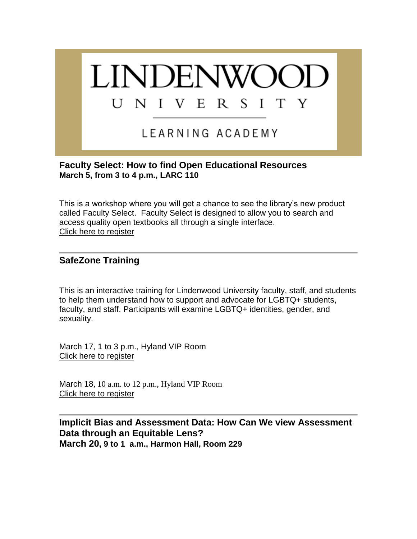

#### **Faculty Select: How to find Open Educational Resources March 5, from 3 to 4 p.m., LARC 110**

This is a workshop where you will get a chance to see the library's new product called Faculty Select. Faculty Select is designed to allow you to search and access quality open textbooks all through a single interface. [Click here to register](https://hes32-ctp.trendmicro.com/wis/clicktime/v1/query?url=https%3a%2f%2fcustapp.marketvolt.com%2flink%2fgFYYkg3u4c%3fCM%3d1472190125%26X%3d70525052&umid=4b35638a-cea9-45ac-b489-3e4505ef875f&auth=bc7ac43e330fa629f0cfb11786c85e83c10d06b8-c9965dc0ba939fcf5aa9c7c7bae11521c1be987d)

#### **SafeZone Training**

This is an interactive training for Lindenwood University faculty, staff, and students to help them understand how to support and advocate for LGBTQ+ students, faculty, and staff. Participants will examine LGBTQ+ identities, gender, and sexuality.

March 17, 1 to 3 p.m., Hyland VIP Room [Click here to register](https://hes32-ctp.trendmicro.com/wis/clicktime/v1/query?url=https%3a%2f%2fcustapp.marketvolt.com%2flink%2fchuGD45Kof%3fCM%3d1472190125%26X%3d70525052&umid=4b35638a-cea9-45ac-b489-3e4505ef875f&auth=bc7ac43e330fa629f0cfb11786c85e83c10d06b8-231dd712f7cebb8e987ae470891cb9ea655864c1)

March 18, 10 a.m. to 12 p.m., Hyland VIP Room [Click here to register](https://hes32-ctp.trendmicro.com/wis/clicktime/v1/query?url=https%3a%2f%2fcustapp.marketvolt.com%2flink%2fchuGD45Kof%3fCM%3d1472190125%26X%3d70525052&umid=4b35638a-cea9-45ac-b489-3e4505ef875f&auth=bc7ac43e330fa629f0cfb11786c85e83c10d06b8-231dd712f7cebb8e987ae470891cb9ea655864c1)

#### **Implicit Bias and Assessment Data: How Can We view Assessment Data through an Equitable Lens? March 20, 9 to 1 a.m., Harmon Hall, Room 229**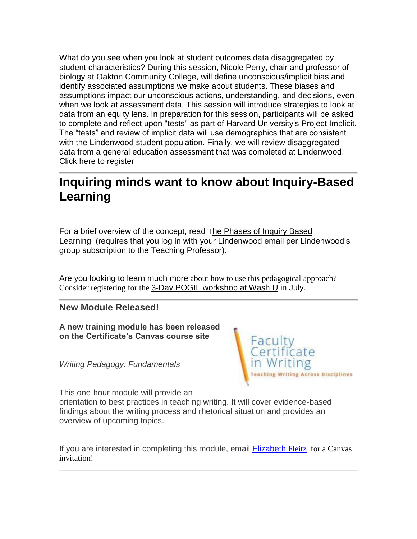What do you see when you look at student outcomes data disaggregated by student characteristics? During this session, Nicole Perry, chair and professor of biology at Oakton Community College, will define unconscious/implicit bias and identify associated assumptions we make about students. These biases and assumptions impact our unconscious actions, understanding, and decisions, even when we look at assessment data. This session will introduce strategies to look at data from an equity lens. In preparation for this session, participants will be asked to complete and reflect upon "tests" as part of Harvard University's Project Implicit. The "tests" and review of implicit data will use demographics that are consistent with the Lindenwood student population. Finally, we will review disaggregated data from a general education assessment that was completed at Lindenwood. [Click here to register](https://hes32-ctp.trendmicro.com/wis/clicktime/v1/query?url=https%3a%2f%2fcustapp.marketvolt.com%2flink%2fI5ErqP5K8U%3fCM%3d1472190125%26X%3d70525052&umid=4b35638a-cea9-45ac-b489-3e4505ef875f&auth=bc7ac43e330fa629f0cfb11786c85e83c10d06b8-c3e51dc173a2581c015a0af019728a1cc2075cc5)

# **Inquiring minds want to know about Inquiry-Based Learning**

For a brief overview of the concept, read The Phases of Inquiry Based [Learning](https://hes32-ctp.trendmicro.com/wis/clicktime/v1/query?url=https%3a%2f%2fcustapp.marketvolt.com%2flink%2f2L4IGcdREH%3fCM%3d1472190125%26X%3d70525052&umid=4b35638a-cea9-45ac-b489-3e4505ef875f&auth=bc7ac43e330fa629f0cfb11786c85e83c10d06b8-37aea11059fe80234834ab50c8f778ff35dc2ddb) (requires that you log in with your Lindenwood email per Lindenwood's group subscription to the Teaching Professor).

Are you looking to learn much more about how to use this pedagogical approach? Consider registering for the [3-Day POGIL workshop at Wash U](https://hes32-ctp.trendmicro.com/wis/clicktime/v1/query?url=https%3a%2f%2fcustapp.marketvolt.com%2flink%2f16ffelDLoq%3fCM%3d1472190125%26X%3d70525052&umid=4b35638a-cea9-45ac-b489-3e4505ef875f&auth=bc7ac43e330fa629f0cfb11786c85e83c10d06b8-41c1217a88362f225c483728685b3f3ffd84f85d) in July.

#### **New Module Released!**

**A new training module has been released on the Certificate's Canvas course site**

*Writing Pedagogy: Fundamentals*



This one-hour module will provide an orientation to best practices in teaching writing. It will cover evidence-based findings about the writing process and rhetorical situation and provides an overview of upcoming topics.

If you are interested in completing this module, email **Elizabeth [Fleitz](mailto:efleitz@lindenwood.edu)** for a Canvas invitation!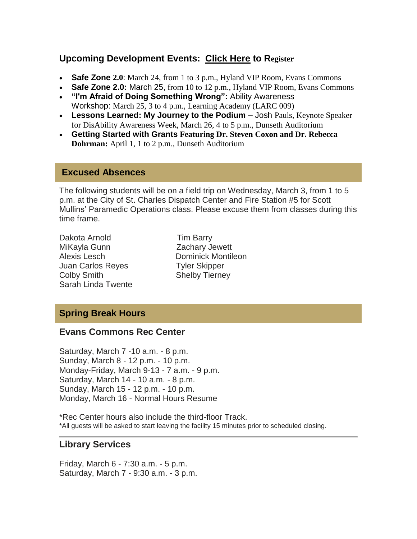#### **Upcoming Development Events: [Click Here](https://hes32-ctp.trendmicro.com/wis/clicktime/v1/query?url=https%3a%2f%2fcustapp.marketvolt.com%2flink%2fpM2krmpbP4%3fCM%3d1472190125%26X%3d70525052&umid=4b35638a-cea9-45ac-b489-3e4505ef875f&auth=bc7ac43e330fa629f0cfb11786c85e83c10d06b8-d24567615a3165d734b4ad9a04e0d3ac25a38ab2) to Register**

- **Safe Zone 2.0**: March 24, from 1 to 3 p.m., Hyland VIP Room, Evans Commons
- **Safe Zone 2.0:** March 25, from 10 to 12 p.m., Hyland VIP Room, Evans Commons
- **"I'm Afraid of Doing Something Wrong":** Ability Awareness Workshop: March 25, 3 to 4 p.m., Learning Academy (LARC 009)
- **Lessons Learned: My Journey to the Podium** Josh Pauls, Keynote Speaker for DisAbility Awareness Week, March 26, 4 to 5 p.m., Dunseth Auditorium
- **Getting Started with Grants Featuring Dr. Steven Coxon and Dr. Rebecca Dohrman:** April 1, 1 to 2 p.m., Dunseth Auditorium

#### **Excused Absences**

The following students will be on a field trip on Wednesday, March 3, from 1 to 5 p.m. at the City of St. Charles Dispatch Center and Fire Station #5 for Scott Mullins' Paramedic Operations class. Please excuse them from classes during this time frame.

- Dakota Arnold Tim Barry MiKayla Gunn Zachary Jewett Alexis Lesch Dominick Montileon Juan Carlos Reyes Tyler Skipper Colby Smith Shelby Tierney Sarah Linda Twente
- 

## **Spring Break Hours**

#### **Evans Commons Rec Center**

Saturday, March 7 -10 a.m. - 8 p.m. Sunday, March 8 - 12 p.m. - 10 p.m. Monday-Friday, March 9-13 - 7 a.m. - 9 p.m. Saturday, March 14 - 10 a.m. - 8 p.m. Sunday, March 15 - 12 p.m. - 10 p.m. Monday, March 16 - Normal Hours Resume

\*Rec Center hours also include the third-floor Track. \*All guests will be asked to start leaving the facility 15 minutes prior to scheduled closing.

#### **Library Services**

Friday, March 6 - 7:30 a.m. - 5 p.m. Saturday, March 7 - 9:30 a.m. - 3 p.m.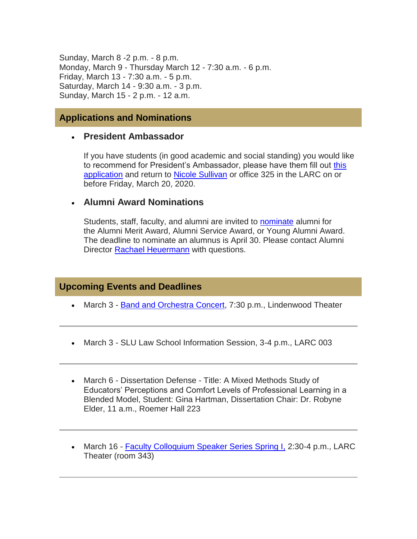Sunday, March 8 -2 p.m. - 8 p.m. Monday, March 9 - Thursday March 12 - 7:30 a.m. - 6 p.m. Friday, March 13 - 7:30 a.m. - 5 p.m. Saturday, March 14 - 9:30 a.m. - 3 p.m. Sunday, March 15 - 2 p.m. - 12 a.m.

#### **Applications and Nominations**

#### **President Ambassador**

If you have students (in good academic and social standing) you would like to recommend for President's Ambassador, please have them fill out [this](https://hes32-ctp.trendmicro.com/wis/clicktime/v1/query?url=https%3a%2f%2fcustapp.marketvolt.com%2flink%2fz4FFTGCgPh%3fCM%3d1472190125%26X%3d70525052&umid=4b35638a-cea9-45ac-b489-3e4505ef875f&auth=bc7ac43e330fa629f0cfb11786c85e83c10d06b8-ee4dbcfcfcabe631167b3325eaaf8eac55ec7cea)  [application](https://hes32-ctp.trendmicro.com/wis/clicktime/v1/query?url=https%3a%2f%2fcustapp.marketvolt.com%2flink%2fz4FFTGCgPh%3fCM%3d1472190125%26X%3d70525052&umid=4b35638a-cea9-45ac-b489-3e4505ef875f&auth=bc7ac43e330fa629f0cfb11786c85e83c10d06b8-ee4dbcfcfcabe631167b3325eaaf8eac55ec7cea) and return to [Nicole Sullivan](mailto:nsullivan@lindenwood.edu) or office 325 in the LARC on or before Friday, March 20, 2020.

#### **Alumni Award Nominations**

Students, staff, faculty, and alumni are invited to [nominate](https://hes32-ctp.trendmicro.com/wis/clicktime/v1/query?url=https%3a%2f%2fcustapp.marketvolt.com%2flink%2fFabgLePMx7%3fCM%3d1472190125%26X%3d70525052&umid=4b35638a-cea9-45ac-b489-3e4505ef875f&auth=bc7ac43e330fa629f0cfb11786c85e83c10d06b8-c7607507f0ca8d492b0bd0551b1373d076434fee) alumni for the Alumni Merit Award, Alumni Service Award, or Young Alumni Award. The deadline to nominate an alumnus is April 30. Please contact Alumni Director [Rachael Heuermann](mailto:rheuermann@lindenwood.edu) with questions.

#### **Upcoming Events and Deadlines**

- March 3 [Band and Orchestra Concert,](https://hes32-ctp.trendmicro.com/wis/clicktime/v1/query?url=https%3a%2f%2fcustapp.marketvolt.com%2flink%2fqfIRhwoXFg%3fCM%3d1472190125%26X%3d70525052&umid=4b35638a-cea9-45ac-b489-3e4505ef875f&auth=bc7ac43e330fa629f0cfb11786c85e83c10d06b8-f0957bbd8d095e609da2cb90550479a2ea8f2508) 7:30 p.m., Lindenwood Theater
- March 3 SLU Law School Information Session, 3-4 p.m., LARC 003
- March 6 Dissertation Defense Title: A Mixed Methods Study of Educators' Perceptions and Comfort Levels of Professional Learning in a Blended Model, Student: Gina Hartman, Dissertation Chair: Dr. Robyne Elder, 11 a.m., Roemer Hall 223
- March 16 [Faculty Colloquium Speaker Series Spring I,](https://hes32-ctp.trendmicro.com/wis/clicktime/v1/query?url=https%3a%2f%2fcustapp.marketvolt.com%2flink%2fmnZvGK3saw%3fCM%3d1472190125%26X%3d70525052&umid=4b35638a-cea9-45ac-b489-3e4505ef875f&auth=bc7ac43e330fa629f0cfb11786c85e83c10d06b8-b63fc928a67571ec8c60158526bca0a00d760468) 2:30-4 p.m., LARC Theater (room 343)